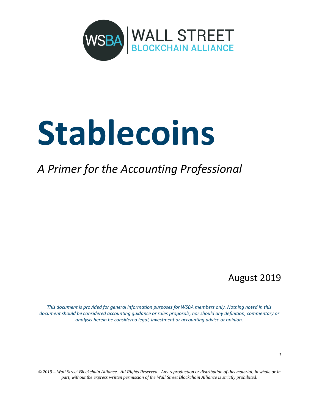

# **Stablecoins**

## *A Primer for the Accounting Professional*

### August 2019

*This document is provided for general information purposes for WSBA members only. Nothing noted in this document should be considered accounting guidance or rules proposals, nor should any definition, commentary or analysis herein be considered legal, investment or accounting advice or opinion.*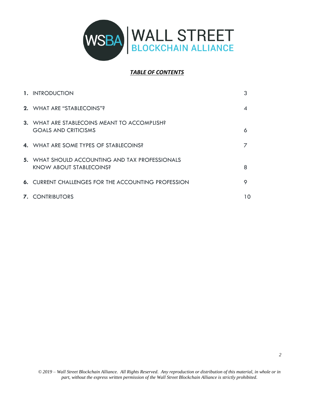

#### *TABLE OF CONTENTS*

| 1. INTRODUCTION                                                                          |    |
|------------------------------------------------------------------------------------------|----|
| 2. WHAT ARE "STABLECOINS"?                                                               |    |
| 3. WHAT ARE STABLECOINS MEANT TO ACCOMPLISH?<br><b>GOALS AND CRITICISMS</b>              | 6  |
| <b>4. WHAT ARE SOME TYPES OF STABLECOINS?</b>                                            |    |
| <b>5.</b> WHAT SHOULD ACCOUNTING AND TAX PROFESSIONALS<br><b>KNOW ABOUT STABLECOINS?</b> | 8  |
| <b>6. CURRENT CHALLENGES FOR THE ACCOUNTING PROFESSION</b>                               | 9  |
| <b>7. CONTRIBUTORS</b>                                                                   | 10 |

*2*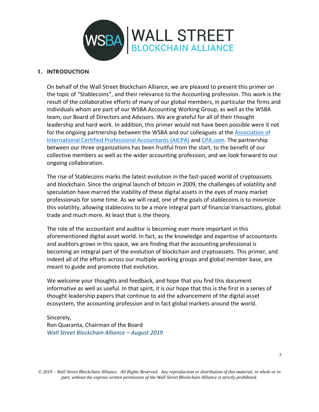

#### **1. INTRODUCTION**

On behalf of the Wall Street Blockchain Alliance, we are pleased to present this primer on the topic of "Stablecoins", and their relevance to the Accounting profession. This work is the result of the collaborative efforts of many of our global members, in particular the firms and individuals whom are part of our WSBA Accounting Working Group, as well as the WSBA team, our Board of Directors and Advisors. We are grateful for all of their thought leadership and hard work. In addition, this primer would not have been possible were it not for the ongoing partnership between the WSBA and our colleagues at the [Association of](https://www.aicpa-cima.com/)  [International Certified Professional Accountants \(AICPA\)](https://www.aicpa-cima.com/) and [CPA.com.](http://www.cpa.com/) The partnership between our three organizations has been fruitful from the start, to the benefit of our collective members as well as the wider accounting profession, and we look forward to our ongoing collaboration.

The rise of Stablecoins marks the latest evolution in the fast-paced world of cryptoassets and blockchain. Since the original launch of bitcoin in 2009, the challenges of volatility and speculation have marred the viability of these digital assets in the eyes of many market professionals for some time. As we will read, one of the goals of stablecoins is to minimize this volatility, allowing stablecoins to be a more integral part of financial transactions, global trade and much more. At least that is the theory.

The role of the accountant and auditor is becoming ever more important in this aforementioned digital asset world. In fact, as the knowledge and expertise of accountants and auditors grows in this space, we are finding that the accounting professional is becoming an integral part of the evolution of blockchain and cryptoassets. This primer, and indeed all of the efforts across our multiple working groups and global member base, are meant to guide and promote that evolution.

We welcome your thoughts and feedback, and hope that you find this document informative as well as useful. In that spirit, it is our hope that this is the first in a series of thought leadership papers that continue to aid the advancement of the digital asset ecosystem, the accounting profession and in fact global markets around the world.

#### Sincerely, Ron Quaranta, Chairman of the Board *Wall Street Blockchain Alliance – August 2019*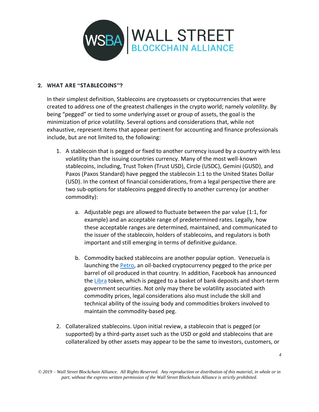

#### **2. WHAT ARE "STABLECOINS"?**

In their simplest definition, Stablecoins are cryptoassets or cryptocurrencies that were created to address one of the greatest challenges in the crypto world; namely *volatility*. By being "pegged" or tied to some underlying asset or group of assets, the goal is the minimization of price volatility. Several options and considerations that, while not exhaustive, represent items that appear pertinent for accounting and finance professionals include, but are not limited to, the following:

- 1. A stablecoin that is pegged or fixed to another currency issued by a country with less volatility than the issuing countries currency. Many of the most well-known stablecoins, including, Trust Token (Trust USD), Circle (USDC), Gemini (GUSD), and Paxos (Paxos Standard) have pegged the stablecoin 1:1 to the United States Dollar (USD). In the context of financial considerations, from a legal perspective there are two sub-options for stablecoins pegged directly to another currency (or another commodity):
	- a. Adjustable pegs are allowed to fluctuate between the par value (1:1, for example) and an acceptable range of predetermined rates. Legally, how these acceptable ranges are determined, maintained, and communicated to the issuer of the stablecoin, holders of stablecoins, and regulators is both important and still emerging in terms of definitive guidance.
	- b. Commodity backed stablecoins are another popular option. Venezuela is launching the **Petro**, an oil-backed cryptocurrency pegged to the price per barrel of oil produced in that country. In addition, Facebook has announced the [Libra](https://en.wikipedia.org/wiki/Libra_(cryptocurrency)) token, which is pegged to a basket of bank deposits and short-term government securities. Not only may there be volatility associated with commodity prices, legal considerations also must include the skill and technical ability of the issuing body and commodities brokers involved to maintain the commodity-based peg.
- 2. Collateralized stablecoins. Upon initial review, a stablecoin that is pegged (or supported) by a third-party asset such as the USD or gold and stablecoins that are collateralized by other assets may appear to be the same to investors, customers, or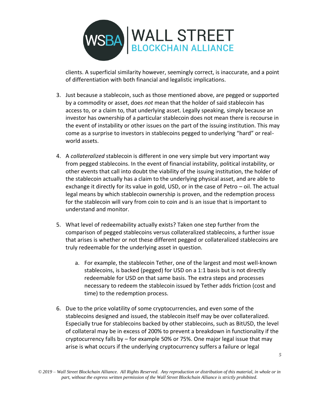

clients. A superficial similarity however, seemingly correct, is inaccurate, and a point of differentiation with both financial and legalistic implications.

- 3. Just because a stablecoin, such as those mentioned above, are pegged or supported by a commodity or asset, does *not* mean that the holder of said stablecoin has access to, or a claim to, that underlying asset. Legally speaking, simply because an investor has ownership of a particular stablecoin does not mean there is recourse in the event of instability or other issues on the part of the issuing institution. This may come as a surprise to investors in stablecoins pegged to underlying "hard" or realworld assets.
- 4. A *collateralized* stablecoin is different in one very simple but very important way from pegged stablecoins. In the event of financial instability, political instability, or other events that call into doubt the viability of the issuing institution, the holder of the stablecoin actually has a claim to the underlying physical asset, and are able to exchange it directly for its value in gold, USD, or in the case of Petro – oil. The actual legal means by which stablecoin ownership is proven, and the redemption process for the stablecoin will vary from coin to coin and is an issue that is important to understand and monitor.
- 5. What level of redeemability actually exists? Taken one step further from the comparison of pegged stablecoins versus collateralized stablecoins, a further issue that arises is whether or not these different pegged or collateralized stablecoins are truly redeemable for the underlying asset in question.
	- a. For example, the stablecoin Tether, one of the largest and most well-known stablecoins, is backed (pegged) for USD on a 1:1 basis but is not directly redeemable for USD on that same basis. The extra steps and processes necessary to redeem the stablecoin issued by Tether adds friction (cost and time) to the redemption process.
- 6. Due to the price volatility of some cryptocurrencies, and even some of the stablecoins designed and issued, the stablecoin itself may be over collateralized. Especially true for stablecoins backed by other stablecoins, such as BitUSD, the level of collateral may be in excess of 200% to prevent a breakdown in functionality if the cryptocurrency falls by – for example 50% or 75%. One major legal issue that may arise is what occurs if the underlying cryptocurrency suffers a failure or legal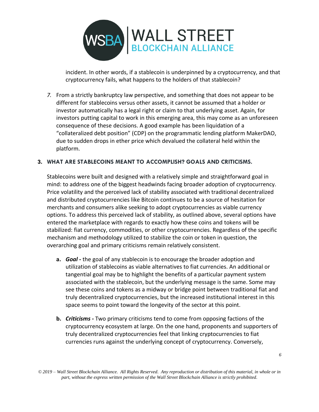

incident. In other words, if a stablecoin is underpinned by a cryptocurrency, and that cryptocurrency fails, what happens to the holders of that stablecoin?

*7.* From a strictly bankruptcy law perspective, and something that does not appear to be different for stablecoins versus other assets, it cannot be assumed that a holder or investor automatically has a legal right or claim to that underlying asset. Again, for investors putting capital to work in this emerging area, this may come as an unforeseen consequence of these decisions. A good example has been liquidation of a "collateralized debt position" (CDP) on the programmatic lending platform MakerDAO, due to sudden drops in ether price which devalued the collateral held within the platform.

#### **3. WHAT ARE STABLECOINS MEANT TO ACCOMPLISH? GOALS AND CRITICISMS.**

Stablecoins were built and designed with a relatively simple and straightforward goal in mind: to address one of the biggest headwinds facing broader adoption of cryptocurrency. Price volatility and the perceived lack of stability associated with traditional decentralized and distributed cryptocurrencies like Bitcoin continues to be a source of hesitation for merchants and consumers alike seeking to adopt cryptocurrencies as viable currency options. To address this perceived lack of stability, as outlined above, several options have entered the marketplace with regards to exactly how these coins and tokens will be stabilized: fiat currency, commodities, or other cryptocurrencies. Regardless of the specific mechanism and methodology utilized to stabilize the coin or token in question, the overarching goal and primary criticisms remain relatively consistent.

- **a.** *Goal -* the goal of any stablecoin is to encourage the broader adoption and utilization of stablecoins as viable alternatives to fiat currencies. An additional or tangential goal may be to highlight the benefits of a particular payment system associated with the stablecoin, but the underlying message is the same. Some may see these coins and tokens as a midway or bridge point between traditional fiat and truly decentralized cryptocurrencies, but the increased institutional interest in this space seems to point toward the longevity of the sector at this point.
- **b.** *Criticisms -* Two primary criticisms tend to come from opposing factions of the cryptocurrency ecosystem at large. On the one hand, proponents and supporters of truly decentralized cryptocurrencies feel that linking cryptocurrencies to fiat currencies runs against the underlying concept of cryptocurrency. Conversely,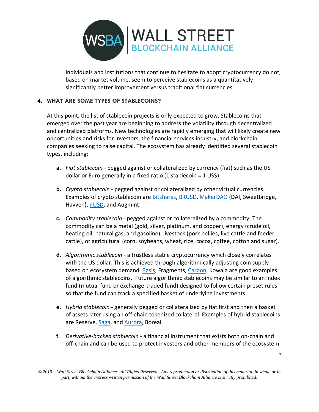

individuals and institutions that continue to hesitate to adopt cryptocurrency do not, based on market volume, seem to perceive stablecoins as a quantitatively significantly better improvement versus traditional fiat currencies.

#### **4. WHAT ARE SOME TYPES OF STABLECOINS?**

At this point, the list of stablecoin projects is only expected to grow. Stablecoins that emerged over the past year are beginning to address the volatility through decentralized and centralized platforms. New technologies are rapidly emerging that will likely create new opportunities and risks for investors, the financial services industry, and blockchain companies seeking to raise capital. The ecosystem has already identified several stablecoin types, including:

- **a.** *Fiat stablecoin* pegged against or collateralized by currency (fiat) such as the US dollar or Euro generally in a fixed ratio (1 stablecoin = 1 US\$).
- **b.** *Crypto stablecoin* pegged against or collateralized by other virtual currencies. Examples of crypto stablecoin are [Bitshares,](http://cryptoslate.com/coins/bitshares) [BitUSD,](http://cryptoslate.com/coins/bitusd) [MakerDAO](http://cryptoslate.com/coins/makerdao) (DAI, Sweetbridge, Havven)[, nUSD,](https://cryptoslate.com/coins/nusd/) and Augmint.
- **c.** *Commodity stablecoin* pegged against or collateralized by a commodity. The commodity can be a metal (gold, silver, platinum, and copper), energy (crude oil, heating oil, natural gas, and gasoline), livestock (pork bellies, live cattle and feeder cattle), or agricultural (corn, soybeans, wheat, rice, cocoa, coffee, cotton and sugar).
- **d.** *Algorithmic stablecoin* a trustless stable cryptocurrency which closely correlates with the US dollar. This is achieved through algorithmically adjusting coin supply based on ecosystem demand. [Basis,](http://cryptoslate.com/coins/basis) Fragments, [Carbon,](http://cryptoslate.com/coins/carbon) Kowala are good examples of algorithmic stablecoins. Future algorithmic stablecoins may be similar to an index fund (mutual fund or exchange-traded fund) designed to follow certain preset rules so that the fund can track a specified basket of underlying investments.
- **e.** *Hybrid stablecoin* generally pegged or collateralized by fiat first and then a basket of assets later using an off-chain tokenized collateral. Examples of hybrid stablecoins are Reserve, [Saga,](http://cryptoslate.com/coins/sagacoin) an[d Aurora,](http://cryptoslate.com/coins/aurora) Boreal.
- **f.** *Derivative-backed stablecoin* a financial instrument that exists both on-chain and off-chain and can be used to protect investors and other members of the ecosystem

*<sup>© 2019 –</sup> Wall Street Blockchain Alliance. All Rights Reserved. Any reproduction or distribution of this material, in whole or in part, without the express written permission of the Wall Street Blockchain Alliance is strictly prohibited.*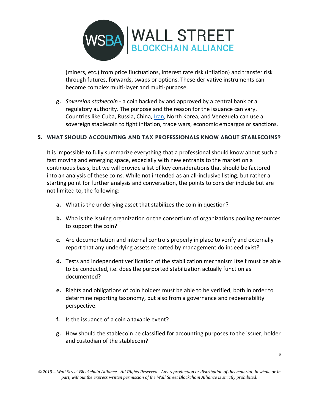

(miners, etc.) from price fluctuations, interest rate risk (inflation) and transfer risk through futures, forwards, swaps or options. These derivative instruments can become complex multi-layer and multi-purpose.

**g.** *Sovereign stablecoin* - a coin backed by and approved by a central bank or a regulatory authority. The purpose and the reason for the issuance can vary. Countries like Cuba, Russia, China, [Iran,](https://cryptoslate.com/iran-considers-blockchain-technology-embargo-questions/) North Korea, and Venezuela can use a sovereign stablecoin to fight inflation, trade wars, economic embargos or sanctions.

#### **5. WHAT SHOULD ACCOUNTING AND TAX PROFESSIONALS KNOW ABOUT STABLECOINS?**

It is impossible to fully summarize everything that a professional should know about such a fast moving and emerging space, especially with new entrants to the market on a continuous basis, but we will provide a list of key considerations that should be factored into an analysis of these coins. While not intended as an all-inclusive listing, but rather a starting point for further analysis and conversation, the points to consider include but are not limited to, the following:

- **a.** What is the underlying asset that stabilizes the coin in question?
- **b.** Who is the issuing organization or the consortium of organizations pooling resources to support the coin?
- **c.** Are documentation and internal controls properly in place to verify and externally report that any underlying assets reported by management do indeed exist?
- **d.** Tests and independent verification of the stabilization mechanism itself must be able to be conducted, i.e. does the purported stabilization actually function as documented?
- **e.** Rights and obligations of coin holders must be able to be verified, both in order to determine reporting taxonomy, but also from a governance and redeemability perspective.
- **f.** Is the issuance of a coin a taxable event?
- **g.** How should the stablecoin be classified for accounting purposes to the issuer, holder and custodian of the stablecoin?

*<sup>© 2019 –</sup> Wall Street Blockchain Alliance. All Rights Reserved. Any reproduction or distribution of this material, in whole or in part, without the express written permission of the Wall Street Blockchain Alliance is strictly prohibited.*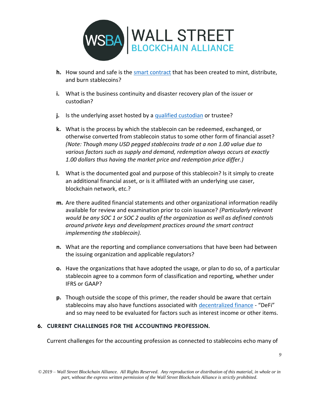

- **h.** How sound and safe is the [smart contract](https://en.wikipedia.org/wiki/Smart_contract) that has been created to mint, distribute, and burn stablecoins?
- **i.** What is the business continuity and disaster recovery plan of the issuer or custodian?
- **j.** Is the underlying asset hosted by a [qualified custodian](https://www.sec.gov/investor/alerts/bulletincustody.htm) or trustee?
- **k.** What is the process by which the stablecoin can be redeemed, exchanged, or otherwise converted from stablecoin status to some other form of financial asset? *(Note: Though many USD pegged stablecoins trade at a non 1.00 value due to various factors such as supply and demand, redemption always occurs at exactly 1.00 dollars thus having the market price and redemption price differ.)*
- **l.** What is the documented goal and purpose of this stablecoin? Is it simply to create an additional financial asset, or is it affiliated with an underlying use caser, blockchain network, etc.?
- **m.** Are there audited financial statements and other organizational information readily available for review and examination prior to coin issuance? *(Particularly relevant would be any SOC 1 or SOC 2 audits of the organization as well as defined controls around private keys and development practices around the smart contract implementing the stablecoin).*
- **n.** What are the reporting and compliance conversations that have been had between the issuing organization and applicable regulators?
- **o.** Have the organizations that have adopted the usage, or plan to do so, of a particular stablecoin agree to a common form of classification and reporting, whether under IFRS or GAAP?
- **p.** Though outside the scope of this primer, the reader should be aware that certain stablecoins may also have functions associated with [decentralized finance](https://www.visualcapitalist.com/decentralized-finance/) - "DeFi" and so may need to be evaluated for factors such as interest income or other items.

#### **6. CURRENT CHALLENGES FOR THE ACCOUNTING PROFESSION.**

Current challenges for the accounting profession as connected to stablecoins echo many of

*9*